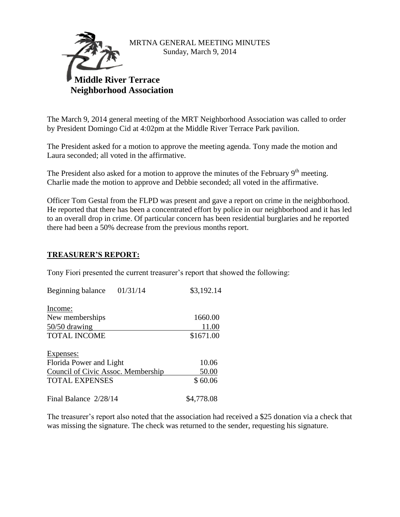

#### MRTNA GENERAL MEETING MINUTES Sunday, March 9, 2014

# **Middle River Terrace Neighborhood Association**

The March 9, 2014 general meeting of the MRT Neighborhood Association was called to order by President Domingo Cid at 4:02pm at the Middle River Terrace Park pavilion.

The President asked for a motion to approve the meeting agenda. Tony made the motion and Laura seconded; all voted in the affirmative.

The President also asked for a motion to approve the minutes of the February  $9<sup>th</sup>$  meeting. Charlie made the motion to approve and Debbie seconded; all voted in the affirmative.

Officer Tom Gestal from the FLPD was present and gave a report on crime in the neighborhood. He reported that there has been a concentrated effort by police in our neighborhood and it has led to an overall drop in crime. Of particular concern has been residential burglaries and he reported there had been a 50% decrease from the previous months report.

# **TREASURER'S REPORT:**

Tony Fiori presented the current treasurer's report that showed the following:

| Beginning balance                  | 01/31/14 | \$3,192.14 |
|------------------------------------|----------|------------|
| Income:                            |          |            |
| New memberships                    |          | 1660.00    |
| $50/50$ drawing                    |          | 11.00      |
| <b>TOTAL INCOME</b>                |          | \$1671.00  |
|                                    |          |            |
| Expenses:                          |          |            |
| Florida Power and Light            |          | 10.06      |
| Council of Civic Assoc. Membership |          | 50.00      |
| <b>TOTAL EXPENSES</b>              |          | \$60.06    |
| Final Balance 2/28/14              |          | \$4,778.08 |

The treasurer's report also noted that the association had received a \$25 donation via a check that was missing the signature. The check was returned to the sender, requesting his signature.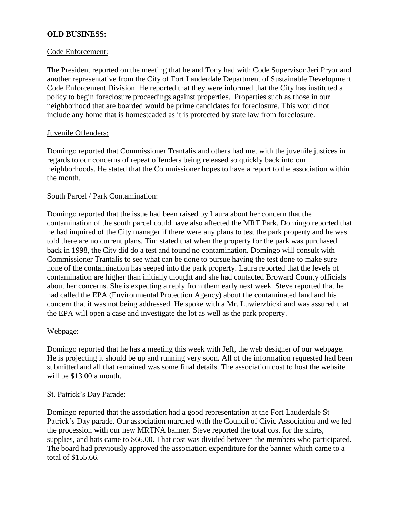# **OLD BUSINESS:**

#### Code Enforcement:

The President reported on the meeting that he and Tony had with Code Supervisor Jeri Pryor and another representative from the City of Fort Lauderdale Department of Sustainable Development Code Enforcement Division. He reported that they were informed that the City has instituted a policy to begin foreclosure proceedings against properties. Properties such as those in our neighborhood that are boarded would be prime candidates for foreclosure. This would not include any home that is homesteaded as it is protected by state law from foreclosure.

#### Juvenile Offenders:

Domingo reported that Commissioner Trantalis and others had met with the juvenile justices in regards to our concerns of repeat offenders being released so quickly back into our neighborhoods. He stated that the Commissioner hopes to have a report to the association within the month.

#### South Parcel / Park Contamination:

Domingo reported that the issue had been raised by Laura about her concern that the contamination of the south parcel could have also affected the MRT Park. Domingo reported that he had inquired of the City manager if there were any plans to test the park property and he was told there are no current plans. Tim stated that when the property for the park was purchased back in 1998, the City did do a test and found no contamination. Domingo will consult with Commissioner Trantalis to see what can be done to pursue having the test done to make sure none of the contamination has seeped into the park property. Laura reported that the levels of contamination are higher than initially thought and she had contacted Broward County officials about her concerns. She is expecting a reply from them early next week. Steve reported that he had called the EPA (Environmental Protection Agency) about the contaminated land and his concern that it was not being addressed. He spoke with a Mr. Luwierzbicki and was assured that the EPA will open a case and investigate the lot as well as the park property.

# Webpage:

Domingo reported that he has a meeting this week with Jeff, the web designer of our webpage. He is projecting it should be up and running very soon. All of the information requested had been submitted and all that remained was some final details. The association cost to host the website will be \$13.00 a month.

# St. Patrick's Day Parade:

Domingo reported that the association had a good representation at the Fort Lauderdale St Patrick's Day parade. Our association marched with the Council of Civic Association and we led the procession with our new MRTNA banner. Steve reported the total cost for the shirts, supplies, and hats came to \$66.00. That cost was divided between the members who participated. The board had previously approved the association expenditure for the banner which came to a total of \$155.66.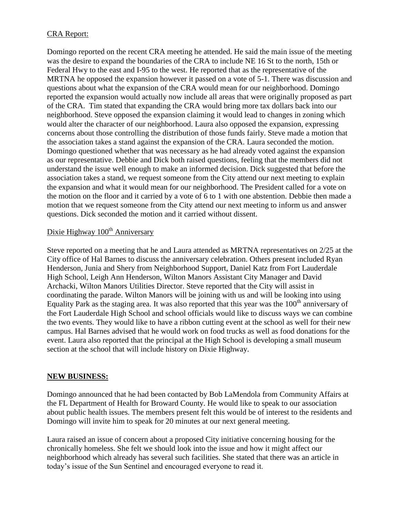# CRA Report:

Domingo reported on the recent CRA meeting he attended. He said the main issue of the meeting was the desire to expand the boundaries of the CRA to include NE 16 St to the north, 15th or Federal Hwy to the east and I-95 to the west. He reported that as the representative of the MRTNA he opposed the expansion however it passed on a vote of 5-1. There was discussion and questions about what the expansion of the CRA would mean for our neighborhood. Domingo reported the expansion would actually now include all areas that were originally proposed as part of the CRA. Tim stated that expanding the CRA would bring more tax dollars back into our neighborhood. Steve opposed the expansion claiming it would lead to changes in zoning which would alter the character of our neighborhood. Laura also opposed the expansion, expressing concerns about those controlling the distribution of those funds fairly. Steve made a motion that the association takes a stand against the expansion of the CRA. Laura seconded the motion. Domingo questioned whether that was necessary as he had already voted against the expansion as our representative. Debbie and Dick both raised questions, feeling that the members did not understand the issue well enough to make an informed decision. Dick suggested that before the association takes a stand, we request someone from the City attend our next meeting to explain the expansion and what it would mean for our neighborhood. The President called for a vote on the motion on the floor and it carried by a vote of 6 to 1 with one abstention. Debbie then made a motion that we request someone from the City attend our next meeting to inform us and answer questions. Dick seconded the motion and it carried without dissent.

# Dixie Highway  $100<sup>th</sup>$  Anniversary

Steve reported on a meeting that he and Laura attended as MRTNA representatives on 2/25 at the City office of Hal Barnes to discuss the anniversary celebration. Others present included Ryan Henderson, Junia and Shery from Neighborhood Support, Daniel Katz from Fort Lauderdale High School, Leigh Ann Henderson, Wilton Manors Assistant City Manager and David Archacki, Wilton Manors Utilities Director. Steve reported that the City will assist in coordinating the parade. Wilton Manors will be joining with us and will be looking into using Equality Park as the staging area. It was also reported that this year was the  $100<sup>th</sup>$  anniversary of the Fort Lauderdale High School and school officials would like to discuss ways we can combine the two events. They would like to have a ribbon cutting event at the school as well for their new campus. Hal Barnes advised that he would work on food trucks as well as food donations for the event. Laura also reported that the principal at the High School is developing a small museum section at the school that will include history on Dixie Highway.

#### **NEW BUSINESS:**

Domingo announced that he had been contacted by Bob LaMendola from Community Affairs at the FL Department of Health for Broward County. He would like to speak to our association about public health issues. The members present felt this would be of interest to the residents and Domingo will invite him to speak for 20 minutes at our next general meeting.

Laura raised an issue of concern about a proposed City initiative concerning housing for the chronically homeless. She felt we should look into the issue and how it might affect our neighborhood which already has several such facilities. She stated that there was an article in today's issue of the Sun Sentinel and encouraged everyone to read it.